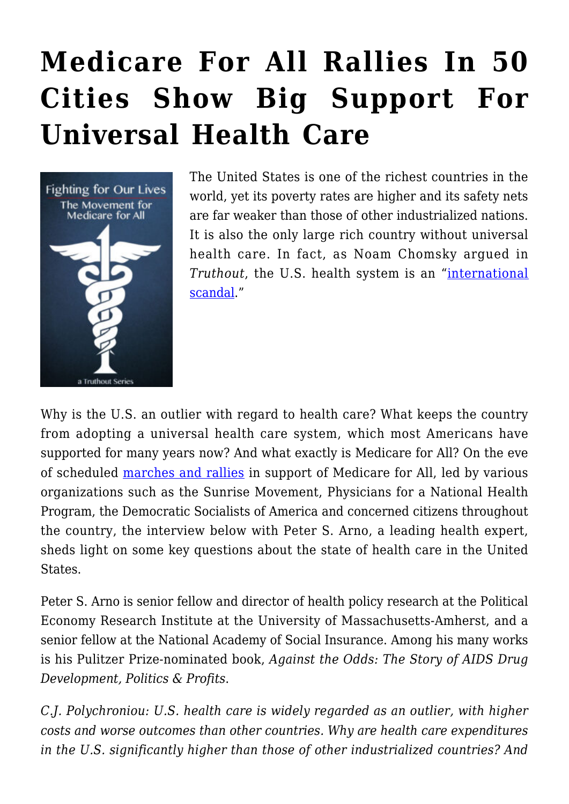## **[Medicare For All Rallies In 50](https://rozenbergquarterly.com/medicare-for-all-rallies-in-50-cities-show-big-support-for-universal-health-care/) [Cities Show Big Support For](https://rozenbergquarterly.com/medicare-for-all-rallies-in-50-cities-show-big-support-for-universal-health-care/) [Universal Health Care](https://rozenbergquarterly.com/medicare-for-all-rallies-in-50-cities-show-big-support-for-universal-health-care/)**



The United States is one of the richest countries in the world, yet its poverty rates are higher and its safety nets are far weaker than those of other industrialized nations. It is also the only large rich country without universal health care. In fact, as Noam Chomsky argued in *Truthout*, the U.S. health system is an "[international](https://truthout.org/articles/noam-chomsky-the-us-health-system-is-an-international-scandal-and-aca-repeal-will-make-it-worse/) [scandal.](https://truthout.org/articles/noam-chomsky-the-us-health-system-is-an-international-scandal-and-aca-repeal-will-make-it-worse/)"

Why is the U.S. an outlier with regard to health care? What keeps the country from adopting a universal health care system, which most Americans have supported for many years now? And what exactly is Medicare for All? On the eve of scheduled [marches and rallies](https://m4m4all.org/) in support of Medicare for All, led by various organizations such as the Sunrise Movement, Physicians for a National Health Program, the Democratic Socialists of America and concerned citizens throughout the country, the interview below with Peter S. Arno, a leading health expert, sheds light on some key questions about the state of health care in the United States.

Peter S. Arno is senior fellow and director of health policy research at the Political Economy Research Institute at the University of Massachusetts-Amherst, and a senior fellow at the National Academy of Social Insurance. Among his many works is his Pulitzer Prize-nominated book, *Against the Odds: The Story of AIDS Drug Development, Politics & Profits*.

*C.J. Polychroniou: U.S. health care is widely regarded as an outlier, with higher costs and worse outcomes than other countries. Why are health care expenditures in the U.S. significantly higher than those of other industrialized countries? And*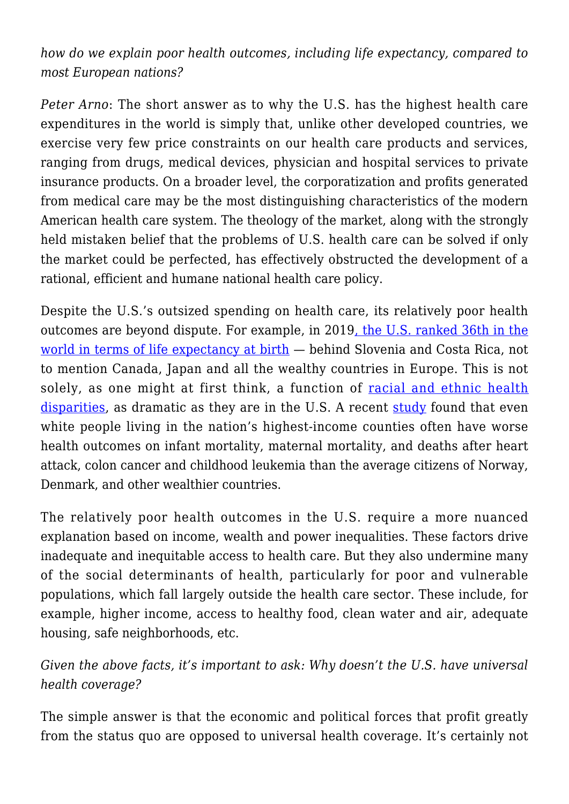*how do we explain poor health outcomes, including life expectancy, compared to most European nations?*

*Peter Arno*: The short answer as to why the U.S. has the highest health care expenditures in the world is simply that, unlike other developed countries, we exercise very few price constraints on our health care products and services, ranging from drugs, medical devices, physician and hospital services to private insurance products. On a broader level, the corporatization and profits generated from medical care may be the most distinguishing characteristics of the modern American health care system. The theology of the market, along with the strongly held mistaken belief that the problems of U.S. health care can be solved if only the market could be perfected, has effectively obstructed the development of a rational, efficient and humane national health care policy.

Despite the U.S.'s outsized spending on health care, its relatively poor health outcomes are beyond dispute. For example, in 2019[, the U.S. ranked 36th in the](https://data.oecd.org/healthstat/life-expectancy-at-birth.htm) [world in terms of life expectancy at birth](https://data.oecd.org/healthstat/life-expectancy-at-birth.htm) — behind Slovenia and Costa Rica, not to mention Canada, Japan and all the wealthy countries in Europe. This is not solely, as one might at first think, a function of [racial and ethnic health](https://www.ncbi.nlm.nih.gov/books/NBK425844/) [disparities](https://www.ncbi.nlm.nih.gov/books/NBK425844/), as dramatic as they are in the U.S. A recent [study](https://jamanetwork.com/journals/jamainternalmedicine/fullarticle/2774561) found that even white people living in the nation's highest-income counties often have worse health outcomes on infant mortality, maternal mortality, and deaths after heart attack, colon cancer and childhood leukemia than the average citizens of Norway, Denmark, and other wealthier countries.

The relatively poor health outcomes in the U.S. require a more nuanced explanation based on income, wealth and power inequalities. These factors drive inadequate and inequitable access to health care. But they also undermine many of the social determinants of health, particularly for poor and vulnerable populations, which fall largely outside the health care sector. These include, for example, higher income, access to healthy food, clean water and air, adequate housing, safe neighborhoods, etc.

## *Given the above facts, it's important to ask: Why doesn't the U.S. have universal health coverage?*

The simple answer is that the economic and political forces that profit greatly from the status quo are opposed to universal health coverage. It's certainly not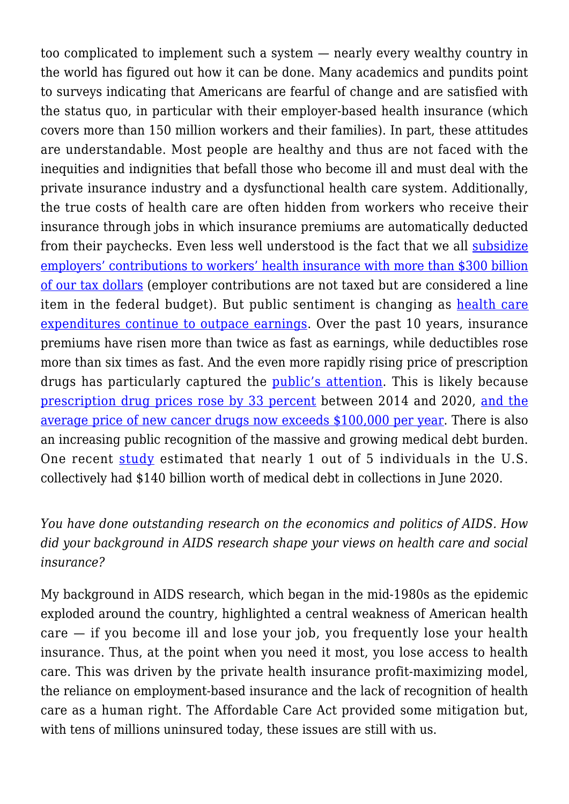too complicated to implement such a system — nearly every wealthy country in the world has figured out how it can be done. Many academics and pundits point to surveys indicating that Americans are fearful of change and are satisfied with the status quo, in particular with their employer-based health insurance (which covers more than 150 million workers and their families). In part, these attitudes are understandable. Most people are healthy and thus are not faced with the inequities and indignities that befall those who become ill and must deal with the private insurance industry and a dysfunctional health care system. Additionally, the true costs of health care are often hidden from workers who receive their insurance through jobs in which insurance premiums are automatically deducted from their paychecks. Even less well understood is the fact that we all [subsidize](https://www.cbo.gov/system/files/2019-05/55085-HealthCoverageSubsidies_0.pdf) [employers' contributions to workers' health insurance with more than \\$300 billion](https://www.cbo.gov/system/files/2019-05/55085-HealthCoverageSubsidies_0.pdf) [of our tax dollars](https://www.cbo.gov/system/files/2019-05/55085-HealthCoverageSubsidies_0.pdf) (employer contributions are not taxed but are considered a line item in the federal budget). But public sentiment is changing as [health care](https://files.kff.org/attachment/Report-Employer-Health-Benefits-Annual-Survey-2019) [expenditures continue to outpace earnings.](https://files.kff.org/attachment/Report-Employer-Health-Benefits-Annual-Survey-2019) Over the past 10 years, insurance premiums have risen more than twice as fast as earnings, while deductibles rose more than six times as fast. And the even more rapidly rising price of prescription drugs has particularly captured the [public's attention.](https://www.kff.org/health-costs/poll-finding/public-opinion-on-prescription-drugs-and-their-prices/) This is likely because [prescription drug prices rose by 33 percent](https://www.goodrx.com/blog/prescription-drugs-rise-faster-than-medical-goods-or-services/) between 2014 and 2020, [and the](https://jamanetwork.com/journals/jama/article-abstract/2734308) [average price of new cancer drugs now exceeds \\$100,000 per year.](https://jamanetwork.com/journals/jama/article-abstract/2734308) There is also an increasing public recognition of the massive and growing medical debt burden. One recent [study](https://www.nytimes.com/2021/07/20/upshot/medical-debt-americans-medicaid.html) estimated that nearly 1 out of 5 individuals in the U.S. collectively had \$140 billion worth of medical debt in collections in June 2020.

## *You have done outstanding research on the economics and politics of AIDS. How did your background in AIDS research shape your views on health care and social insurance?*

My background in AIDS research, which began in the mid-1980s as the epidemic exploded around the country, highlighted a central weakness of American health care — if you become ill and lose your job, you frequently lose your health insurance. Thus, at the point when you need it most, you lose access to health care. This was driven by the private health insurance profit-maximizing model, the reliance on employment-based insurance and the lack of recognition of health care as a human right. The Affordable Care Act provided some mitigation but, with tens of millions uninsured today, these issues are still with us.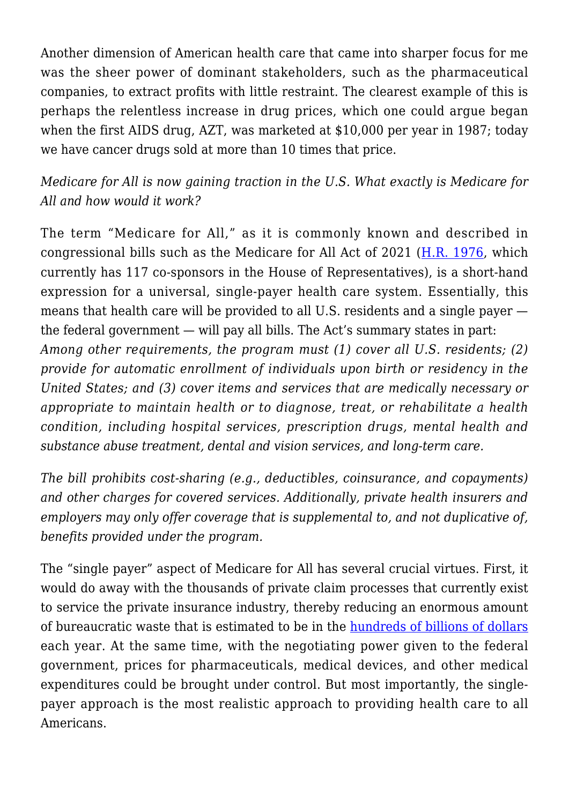Another dimension of American health care that came into sharper focus for me was the sheer power of dominant stakeholders, such as the pharmaceutical companies, to extract profits with little restraint. The clearest example of this is perhaps the relentless increase in drug prices, which one could argue began when the first AIDS drug, AZT, was marketed at \$10,000 per year in 1987; today we have cancer drugs sold at more than 10 times that price.

*Medicare for All is now gaining traction in the U.S. What exactly is Medicare for All and how would it work?*

The term "Medicare for All," as it is commonly known and described in congressional bills such as the Medicare for All Act of 2021 ( $H.R. 1976$ , which currently has 117 co-sponsors in the House of Representatives), is a short-hand expression for a universal, single-payer health care system. Essentially, this means that health care will be provided to all U.S. residents and a single payer the federal government — will pay all bills. The Act's summary states in part: *Among other requirements, the program must (1) cover all U.S. residents; (2) provide for automatic enrollment of individuals upon birth or residency in the United States; and (3) cover items and services that are medically necessary or appropriate to maintain health or to diagnose, treat, or rehabilitate a health condition, including hospital services, prescription drugs, mental health and substance abuse treatment, dental and vision services, and long-term care.*

*The bill prohibits cost-sharing (e.g., deductibles, coinsurance, and copayments) and other charges for covered services. Additionally, private health insurers and employers may only offer coverage that is supplemental to, and not duplicative of, benefits provided under the program.*

The "single payer" aspect of Medicare for All has several crucial virtues. First, it would do away with the thousands of private claim processes that currently exist to service the private insurance industry, thereby reducing an enormous amount of bureaucratic waste that is estimated to be in the [hundreds of billions of dollars](https://peri.umass.edu/publication/item/1127-economic-analysis-of-medicare-for-all) each year. At the same time, with the negotiating power given to the federal government, prices for pharmaceuticals, medical devices, and other medical expenditures could be brought under control. But most importantly, the singlepayer approach is the most realistic approach to providing health care to all Americans.